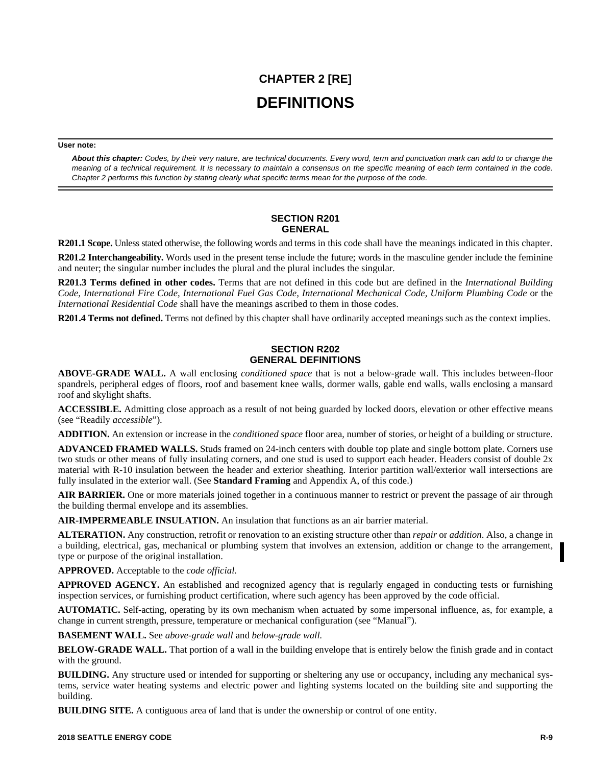## **CHAPTER 2 [RE] DEFINITIONS**

## **User note:**

*About this chapter: Codes, by their very nature, are technical documents. Every word, term and punctuation mark can add to or change the meaning of a technical requirement. It is necessary to maintain a consensus on the specific meaning of each term contained in the code. Chapter 2 performs this function by stating clearly what specific terms mean for the purpose of the code.*

## **SECTION R201 GENERAL**

**R201.1 Scope.** Unless stated otherwise, the following words and terms in this code shall have the meanings indicated in this chapter.

**R201.2 Interchangeability.** Words used in the present tense include the future; words in the masculine gender include the feminine and neuter; the singular number includes the plural and the plural includes the singular.

**R201.3 Terms defined in other codes.** Terms that are not defined in this code but are defined in the *International Building Code, International Fire Code, International Fuel Gas Code, International Mechanical Code, Uniform Plumbing Code* or the *International Residential Code* shall have the meanings ascribed to them in those codes.

**R201.4 Terms not defined.** Terms not defined by this chapter shall have ordinarily accepted meanings such as the context implies.

## **SECTION R202 GENERAL DEFINITIONS**

**ABOVE-GRADE WALL.** A wall enclosing *conditioned space* that is not a below-grade wall. This includes between-floor spandrels, peripheral edges of floors, roof and basement knee walls, dormer walls, gable end walls, walls enclosing a mansard roof and skylight shafts.

**ACCESSIBLE.** Admitting close approach as a result of not being guarded by locked doors, elevation or other effective means (see "Readily *accessible*").

**ADDITION.** An extension or increase in the *conditioned space* floor area, number of stories, or height of a building or structure.

**ADVANCED FRAMED WALLS.** Studs framed on 24-inch centers with double top plate and single bottom plate. Corners use two studs or other means of fully insulating corners, and one stud is used to support each header. Headers consist of double 2x material with R-10 insulation between the header and exterior sheathing. Interior partition wall/exterior wall intersections are fully insulated in the exterior wall. (See **Standard Framing** and Appendix A, of this code.)

**AIR BARRIER.** One or more materials joined together in a continuous manner to restrict or prevent the passage of air through the building thermal envelope and its assemblies.

**AIR-IMPERMEABLE INSULATION.** An insulation that functions as an air barrier material.

**ALTERATION.** Any construction, retrofit or renovation to an existing structure other than *repair* or *addition*. Also, a change in a building, electrical, gas, mechanical or plumbing system that involves an extension, addition or change to the arrangement, type or purpose of the original installation.

**APPROVED.** Acceptable to the *code official.*

APPROVED AGENCY. An established and recognized agency that is regularly engaged in conducting tests or furnishing inspection services, or furnishing product certification, where such agency has been approved by the code official.

**AUTOMATIC.** Self-acting, operating by its own mechanism when actuated by some impersonal influence, as, for example, a change in current strength, pressure, temperature or mechanical configuration (see "Manual").

**BASEMENT WALL.** See *above-grade wall* and *below-grade wall.*

**BELOW-GRADE WALL.** That portion of a wall in the building envelope that is entirely below the finish grade and in contact with the ground.

**BUILDING.** Any structure used or intended for supporting or sheltering any use or occupancy, including any mechanical systems, service water heating systems and electric power and lighting systems located on the building site and supporting the building.

**BUILDING SITE.** A contiguous area of land that is under the ownership or control of one entity.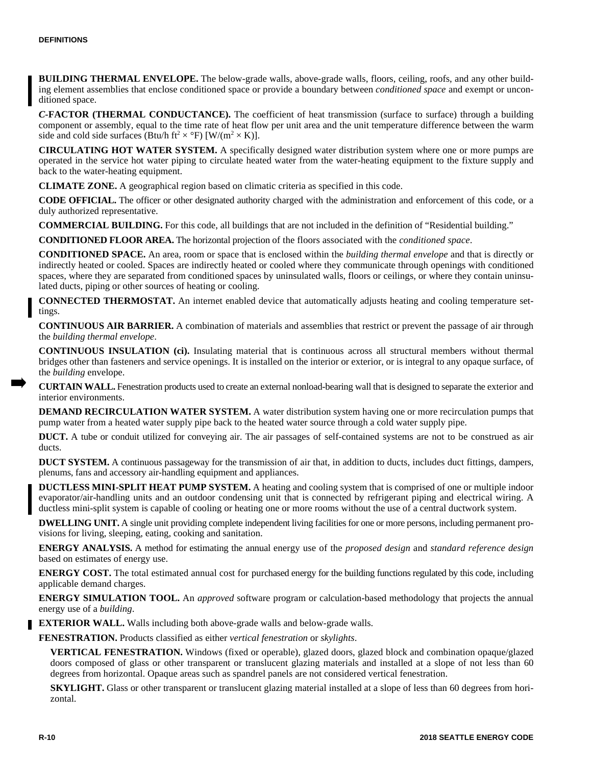**BUILDING THERMAL ENVELOPE.** The below-grade walls, above-grade walls, floors, ceiling, roofs, and any other building element assemblies that enclose conditioned space or provide a boundary between *conditioned space* and exempt or unconditioned space.

*C***-FACTOR (THERMAL CONDUCTANCE).** The coefficient of heat transmission (surface to surface) through a building component or assembly, equal to the time rate of heat flow per unit area and the unit temperature difference between the warm side and cold side surfaces (Btu/h ft<sup>2</sup>  $\times$  °F) [W/(m<sup>2</sup>  $\times$  K)].

**CIRCULATING HOT WATER SYSTEM.** A specifically designed water distribution system where one or more pumps are operated in the service hot water piping to circulate heated water from the water-heating equipment to the fixture supply and back to the water-heating equipment.

**CLIMATE ZONE.** A geographical region based on climatic criteria as specified in this code.

**CODE OFFICIAL.** The officer or other designated authority charged with the administration and enforcement of this code, or a duly authorized representative.

**COMMERCIAL BUILDING.** For this code, all buildings that are not included in the definition of "Residential building."

**CONDITIONED FLOOR AREA.** The horizontal projection of the floors associated with the *conditioned space*.

**CONDITIONED SPACE.** An area, room or space that is enclosed within the *building thermal envelope* and that is directly or indirectly heated or cooled. Spaces are indirectly heated or cooled where they communicate through openings with conditioned spaces, where they are separated from conditioned spaces by uninsulated walls, floors or ceilings, or where they contain uninsulated ducts, piping or other sources of heating or cooling.

**CONNECTED THERMOSTAT.** An internet enabled device that automatically adjusts heating and cooling temperature settings.

**CONTINUOUS AIR BARRIER.** A combination of materials and assemblies that restrict or prevent the passage of air through the *building thermal envelope*.

**CONTINUOUS INSULATION (ci).** Insulating material that is continuous across all structural members without thermal bridges other than fasteners and service openings. It is installed on the interior or exterior, or is integral to any opaque surface, of the *building* envelope.

**CURTAIN WALL.** Fenestration products used to create an external nonload-bearing wall that is designed to separate the exterior and interior environments.

**DEMAND RECIRCULATION WATER SYSTEM.** A water distribution system having one or more recirculation pumps that pump water from a heated water supply pipe back to the heated water source through a cold water supply pipe.

**DUCT.** A tube or conduit utilized for conveying air. The air passages of self-contained systems are not to be construed as air ducts.

**DUCT SYSTEM.** A continuous passageway for the transmission of air that, in addition to ducts, includes duct fittings, dampers, plenums, fans and accessory air-handling equipment and appliances.

**DUCTLESS MINI-SPLIT HEAT PUMP SYSTEM.** A heating and cooling system that is comprised of one or multiple indoor evaporator/air-handling units and an outdoor condensing unit that is connected by refrigerant piping and electrical wiring. A ductless mini-split system is capable of cooling or heating one or more rooms without the use of a central ductwork system.

**DWELLING UNIT.** A single unit providing complete independent living facilities for one or more persons, including permanent provisions for living, sleeping, eating, cooking and sanitation.

**ENERGY ANALYSIS.** A method for estimating the annual energy use of the *proposed design* and *standard reference design* based on estimates of energy use.

**ENERGY COST.** The total estimated annual cost for purchased energy for the building functions regulated by this code, including applicable demand charges.

**ENERGY SIMULATION TOOL.** An *approved* software program or calculation-based methodology that projects the annual energy use of a *building*.

**EXTERIOR WALL.** Walls including both above-grade walls and below-grade walls.

**FENESTRATION.** Products classified as either *vertical fenestration* or *skylights*.

**VERTICAL FENESTRATION.** Windows (fixed or operable), glazed doors, glazed block and combination opaque/glazed doors composed of glass or other transparent or translucent glazing materials and installed at a slope of not less than 60 degrees from horizontal. Opaque areas such as spandrel panels are not considered vertical fenestration.

**SKYLIGHT.** Glass or other transparent or translucent glazing material installed at a slope of less than 60 degrees from horizontal.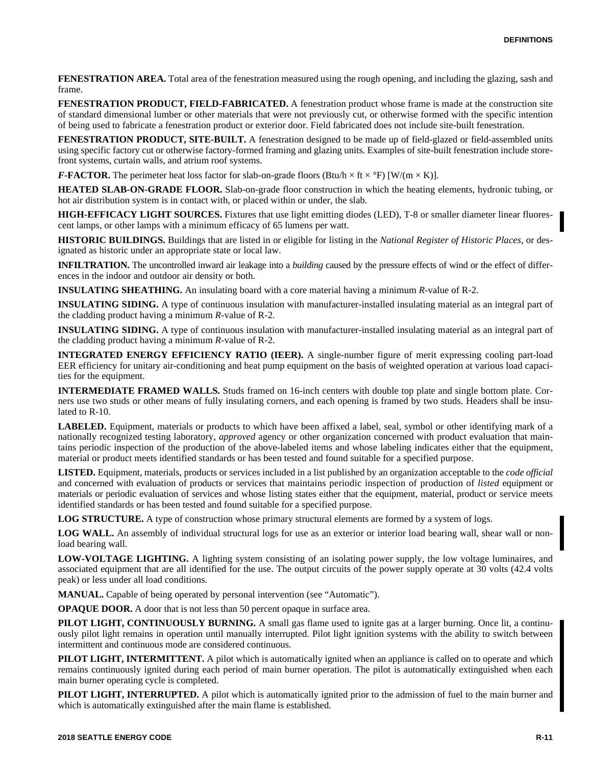**FENESTRATION AREA.** Total area of the fenestration measured using the rough opening, and including the glazing, sash and frame.

**FENESTRATION PRODUCT, FIELD-FABRICATED.** A fenestration product whose frame is made at the construction site of standard dimensional lumber or other materials that were not previously cut, or otherwise formed with the specific intention of being used to fabricate a fenestration product or exterior door. Field fabricated does not include site-built fenestration.

**FENESTRATION PRODUCT, SITE-BUILT.** A fenestration designed to be made up of field-glazed or field-assembled units using specific factory cut or otherwise factory-formed framing and glazing units. Examples of site-built fenestration include storefront systems, curtain walls, and atrium roof systems.

*F***-FACTOR.** The perimeter heat loss factor for slab-on-grade floors (Btu/h  $\times$  ft  $\times$  °F) [W/(m  $\times$  K)].

**HEATED SLAB-ON-GRADE FLOOR.** Slab-on-grade floor construction in which the heating elements, hydronic tubing, or hot air distribution system is in contact with, or placed within or under, the slab.

**HIGH-EFFICACY LIGHT SOURCES.** Fixtures that use light emitting diodes (LED), T-8 or smaller diameter linear fluorescent lamps, or other lamps with a minimum efficacy of 65 lumens per watt.

**HISTORIC BUILDINGS.** Buildings that are listed in or eligible for listing in the *National Register of Historic Places,* or designated as historic under an appropriate state or local law.

**INFILTRATION.** The uncontrolled inward air leakage into a *building* caused by the pressure effects of wind or the effect of differences in the indoor and outdoor air density or both.

**INSULATING SHEATHING.** An insulating board with a core material having a minimum *R-*value of R-2.

**INSULATING SIDING.** A type of continuous insulation with manufacturer-installed insulating material as an integral part of the cladding product having a minimum *R-*value of R-2.

**INSULATING SIDING.** A type of continuous insulation with manufacturer-installed insulating material as an integral part of the cladding product having a minimum *R*-value of R-2.

**INTEGRATED ENERGY EFFICIENCY RATIO (IEER).** A single-number figure of merit expressing cooling part-load EER efficiency for unitary air-conditioning and heat pump equipment on the basis of weighted operation at various load capacities for the equipment.

**INTERMEDIATE FRAMED WALLS.** Studs framed on 16-inch centers with double top plate and single bottom plate. Corners use two studs or other means of fully insulating corners, and each opening is framed by two studs. Headers shall be insulated to R-10.

**LABELED.** Equipment, materials or products to which have been affixed a label, seal, symbol or other identifying mark of a nationally recognized testing laboratory, *approved* agency or other organization concerned with product evaluation that maintains periodic inspection of the production of the above-labeled items and whose labeling indicates either that the equipment, material or product meets identified standards or has been tested and found suitable for a specified purpose.

**LISTED.** Equipment, materials, products or services included in a list published by an organization acceptable to the *code official* and concerned with evaluation of products or services that maintains periodic inspection of production of *listed* equipment or materials or periodic evaluation of services and whose listing states either that the equipment, material, product or service meets identified standards or has been tested and found suitable for a specified purpose.

**LOG STRUCTURE.** A type of construction whose primary structural elements are formed by a system of logs.

LOG WALL. An assembly of individual structural logs for use as an exterior or interior load bearing wall, shear wall or nonload bearing wall.

**LOW-VOLTAGE LIGHTING.** A lighting system consisting of an isolating power supply, the low voltage luminaires, and associated equipment that are all identified for the use. The output circuits of the power supply operate at 30 volts (42.4 volts peak) or less under all load conditions.

**MANUAL.** Capable of being operated by personal intervention (see "Automatic").

**OPAQUE DOOR.** A door that is not less than 50 percent opaque in surface area.

**PILOT LIGHT, CONTINUOUSLY BURNING.** A small gas flame used to ignite gas at a larger burning. Once lit, a continuously pilot light remains in operation until manually interrupted. Pilot light ignition systems with the ability to switch between intermittent and continuous mode are considered continuous.

**PILOT LIGHT, INTERMITTENT.** A pilot which is automatically ignited when an appliance is called on to operate and which remains continuously ignited during each period of main burner operation. The pilot is automatically extinguished when each main burner operating cycle is completed.

**PILOT LIGHT, INTERRUPTED.** A pilot which is automatically ignited prior to the admission of fuel to the main burner and which is automatically extinguished after the main flame is established.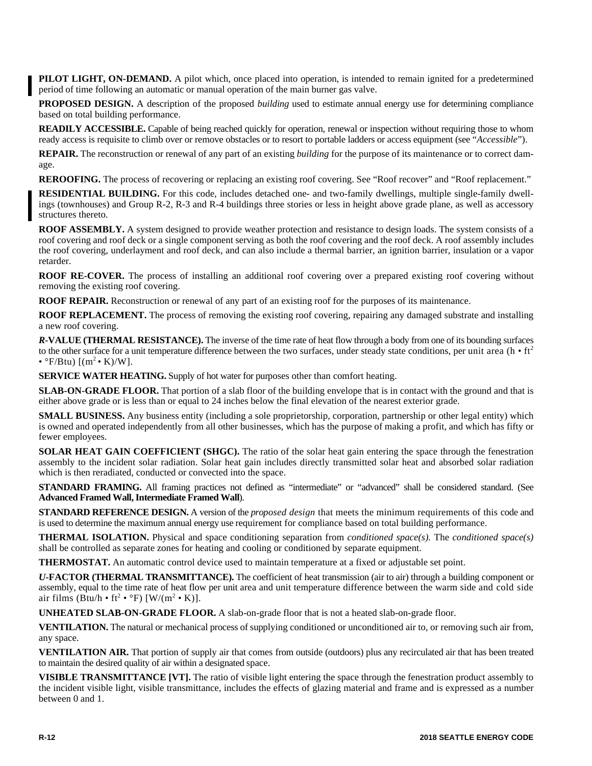**PILOT LIGHT, ON-DEMAND.** A pilot which, once placed into operation, is intended to remain ignited for a predetermined period of time following an automatic or manual operation of the main burner gas valve.

**PROPOSED DESIGN.** A description of the proposed *building* used to estimate annual energy use for determining compliance based on total building performance.

**READILY ACCESSIBLE.** Capable of being reached quickly for operation, renewal or inspection without requiring those to whom ready access is requisite to climb over or remove obstacles or to resort to portable ladders or access equipment (see "*Accessible*").

**REPAIR.** The reconstruction or renewal of any part of an existing *building* for the purpose of its maintenance or to correct damage.

**REROOFING.** The process of recovering or replacing an existing roof covering. See "Roof recover" and "Roof replacement."

**RESIDENTIAL BUILDING.** For this code, includes detached one- and two-family dwellings, multiple single-family dwellings (townhouses) and Group R-2, R-3 and R-4 buildings three stories or less in height above grade plane, as well as accessory structures thereto.

**ROOF ASSEMBLY.** A system designed to provide weather protection and resistance to design loads. The system consists of a roof covering and roof deck or a single component serving as both the roof covering and the roof deck. A roof assembly includes the roof covering, underlayment and roof deck, and can also include a thermal barrier, an ignition barrier, insulation or a vapor retarder.

**ROOF RE-COVER.** The process of installing an additional roof covering over a prepared existing roof covering without removing the existing roof covering.

**ROOF REPAIR.** Reconstruction or renewal of any part of an existing roof for the purposes of its maintenance.

**ROOF REPLACEMENT.** The process of removing the existing roof covering, repairing any damaged substrate and installing a new roof covering.

*R***-VALUE (THERMAL RESISTANCE).** The inverse of the time rate of heat flow through a body from one of its bounding surfaces to the other surface for a unit temperature difference between the two surfaces, under steady state conditions, per unit area (h  $\cdot$  ft<sup>2</sup> •  $\degree$ F/Btu) [(m<sup>2</sup> • K)/W].

**SERVICE WATER HEATING.** Supply of hot water for purposes other than comfort heating.

**SLAB-ON-GRADE FLOOR.** That portion of a slab floor of the building envelope that is in contact with the ground and that is either above grade or is less than or equal to 24 inches below the final elevation of the nearest exterior grade.

**SMALL BUSINESS.** Any business entity (including a sole proprietorship, corporation, partnership or other legal entity) which is owned and operated independently from all other businesses, which has the purpose of making a profit, and which has fifty or fewer employees.

**SOLAR HEAT GAIN COEFFICIENT (SHGC).** The ratio of the solar heat gain entering the space through the fenestration assembly to the incident solar radiation. Solar heat gain includes directly transmitted solar heat and absorbed solar radiation which is then reradiated, conducted or convected into the space.

**STANDARD FRAMING.** All framing practices not defined as "intermediate" or "advanced" shall be considered standard. (See **Advanced Framed Wall, Intermediate Framed Wall**).

**STANDARD REFERENCE DESIGN.** A version of the *proposed design* that meets the minimum requirements of this code and is used to determine the maximum annual energy use requirement for compliance based on total building performance.

**THERMAL ISOLATION.** Physical and space conditioning separation from *conditioned space(s).* The *conditioned space(s)* shall be controlled as separate zones for heating and cooling or conditioned by separate equipment.

**THERMOSTAT.** An automatic control device used to maintain temperature at a fixed or adjustable set point.

*U-***FACTOR (THERMAL TRANSMITTANCE).** The coefficient of heat transmission (air to air) through a building component or assembly, equal to the time rate of heat flow per unit area and unit temperature difference between the warm side and cold side air films (Btu/h • ft<sup>2</sup> • °F) [W/(m<sup>2</sup> • K)].

**UNHEATED SLAB-ON-GRADE FLOOR.** A slab-on-grade floor that is not a heated slab-on-grade floor.

**VENTILATION.** The natural or mechanical process of supplying conditioned or unconditioned air to, or removing such air from, any space.

**VENTILATION AIR.** That portion of supply air that comes from outside (outdoors) plus any recirculated air that has been treated to maintain the desired quality of air within a designated space.

**VISIBLE TRANSMITTANCE [VT].** The ratio of visible light entering the space through the fenestration product assembly to the incident visible light, visible transmittance, includes the effects of glazing material and frame and is expressed as a number between 0 and 1.